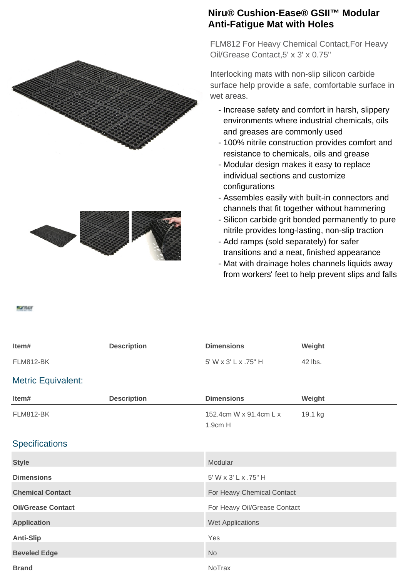



## **Niru® Cushion-Ease® GSII™ Modular Anti-Fatigue Mat with Holes**

FLM812 For Heavy Chemical Contact,For Heavy Oil/Grease Contact,5' x 3' x 0.75"

Interlocking mats with non-slip silicon carbide surface help provide a safe, comfortable surface in wet areas.

- Increase safety and comfort in harsh, slippery environments where industrial chemicals, oils and greases are commonly used
- 100% nitrile construction provides comfort and resistance to chemicals, oils and grease
- Modular design makes it easy to replace individual sections and customize configurations
- Assembles easily with built-in connectors and channels that fit together without hammering
- Silicon carbide grit bonded permanently to pure nitrile provides long-lasting, non-slip traction
- Add ramps (sold separately) for safer transitions and a neat, finished appearance
- Mat with drainage holes channels liquids away from workers' feet to help prevent slips and falls

## **ROTRAIN**

| Item#                     | <b>Description</b> | <b>Dimensions</b>                 | Weight  |
|---------------------------|--------------------|-----------------------------------|---------|
| <b>FLM812-BK</b>          |                    | 5' W x 3' L x .75" H              | 42 lbs. |
| <b>Metric Equivalent:</b> |                    |                                   |         |
| Item#                     | <b>Description</b> | <b>Dimensions</b>                 | Weight  |
| <b>FLM812-BK</b>          |                    | 152.4cm W x 91.4cm L x<br>1.9cm H | 19.1 kg |
| <b>Specifications</b>     |                    |                                   |         |
| <b>Style</b>              |                    | Modular                           |         |
| <b>Dimensions</b>         |                    | 5' W x 3' L x .75" H              |         |
| <b>Chemical Contact</b>   |                    | For Heavy Chemical Contact        |         |
| <b>Oil/Grease Contact</b> |                    | For Heavy Oil/Grease Contact      |         |
| <b>Application</b>        |                    | Wet Applications                  |         |
| <b>Anti-Slip</b>          |                    | Yes                               |         |
| <b>Beveled Edge</b>       |                    | <b>No</b>                         |         |
| <b>Brand</b>              |                    | NoTrax                            |         |